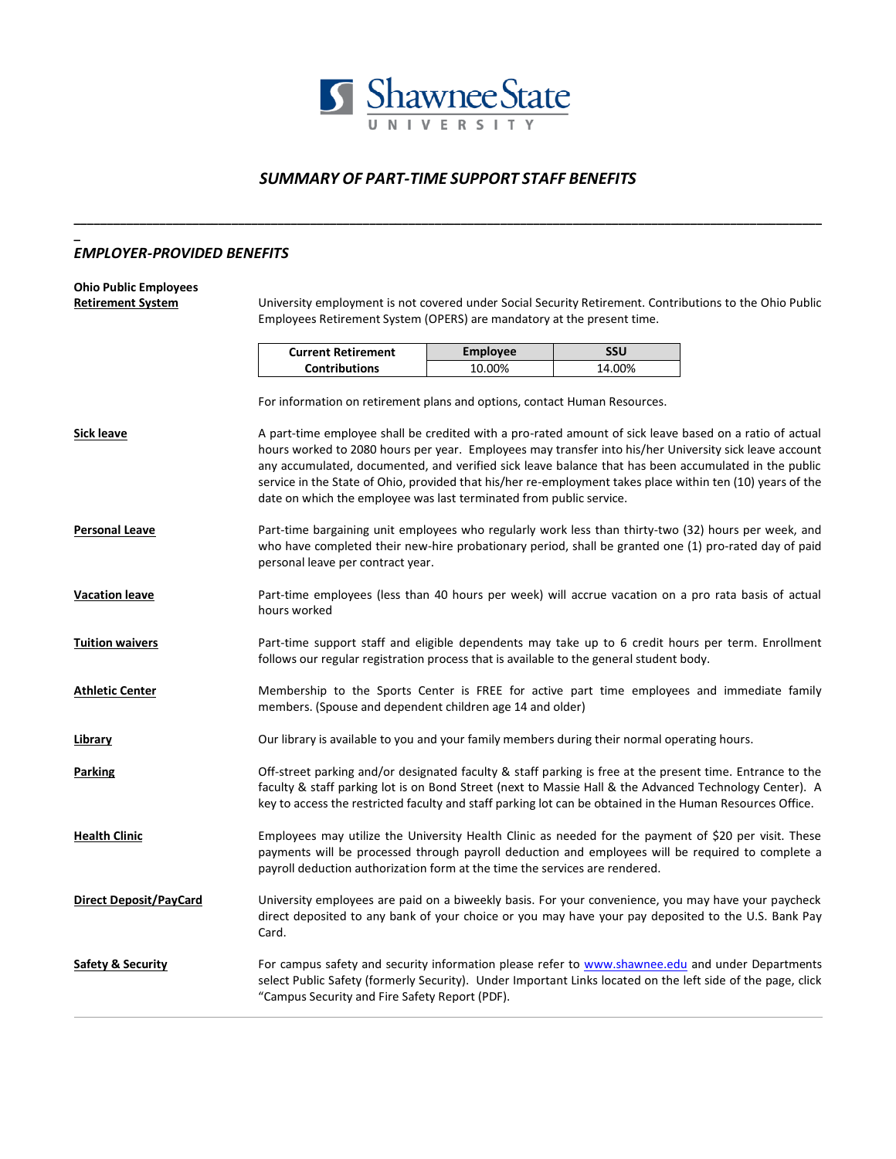

## *SUMMARY OF PART-TIME SUPPORT STAFF BENEFITS*

**\_\_\_\_\_\_\_\_\_\_\_\_\_\_\_\_\_\_\_\_\_\_\_\_\_\_\_\_\_\_\_\_\_\_\_\_\_\_\_\_\_\_\_\_\_\_\_\_\_\_\_\_\_\_\_\_\_\_\_\_\_\_\_\_\_\_\_\_\_\_\_\_\_\_\_\_\_\_\_\_\_\_\_\_\_\_\_\_\_\_\_\_\_\_\_\_\_\_\_\_\_\_\_\_\_\_\_\_\_\_\_\_\_\_**

## *EMPLOYER-PROVIDED BENEFITS*

## **Ohio Public Employees**

**\_**

**Retirement System** University employment is not covered under Social Security Retirement. Contributions to the Ohio Public Employees Retirement System (OPERS) are mandatory at the present time.

| <b>Current Retirement</b> | Employee | SSU    |
|---------------------------|----------|--------|
| <b>Contributions</b>      | 10.00%   | 14.00% |

For information on retirement plans and options, contact Human Resources.

**Sick leave** A part-time employee shall be credited with a pro-rated amount of sick leave based on a ratio of actual hours worked to 2080 hours per year. Employees may transfer into his/her University sick leave account any accumulated, documented, and verified sick leave balance that has been accumulated in the public service in the State of Ohio, provided that his/her re-employment takes place within ten (10) years of the date on which the employee was last terminated from public service.

- Personal Leave **Part-time bargaining unit employees who regularly work less than thirty-two (32) hours per week, and** who have completed their new-hire probationary period, shall be granted one (1) pro-rated day of paid personal leave per contract year.
- **Vacation leave** Part-time employees (less than 40 hours per week) will accrue vacation on a pro rata basis of actual hours worked
- **Tuition waivers** Part-time support staff and eligible dependents may take up to 6 credit hours per term. Enrollment follows our regular registration process that is available to the general student body.
- **Athletic Center** Membership to the Sports Center is FREE for active part time employees and immediate family members. (Spouse and dependent children age 14 and older)
- Library **Curlibrary** is available to you and your family members during their normal operating hours.
- **Parking Parking Off-street parking and/or designated faculty & staff parking is free at the present time. Entrance to the** faculty & staff parking lot is on Bond Street (next to Massie Hall & the Advanced Technology Center). A key to access the restricted faculty and staff parking lot can be obtained in the Human Resources Office.
- Health Clinic **Employees may utilize the University Health Clinic as needed for the payment of \$20 per visit. These** payments will be processed through payroll deduction and employees will be required to complete a payroll deduction authorization form at the time the services are rendered.
- **Direct Deposit/PayCard** University employees are paid on a biweekly basis. For your convenience, you may have your paycheck direct deposited to any bank of your choice or you may have your pay deposited to the U.S. Bank Pay Card.
- Safety & Security **For campus safety and security information please refer to [www.shawnee.edu](http://www.shawnee.edu/) and under Departments** select Public Safety (formerly Security). Under Important Links located on the left side of the page, click "Campus Security and Fire Safety Report (PDF).